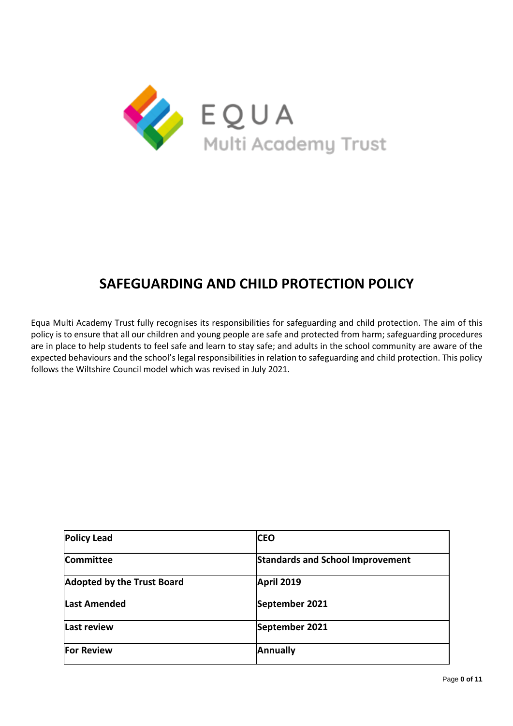

# **SAFEGUARDING AND CHILD PROTECTION POLICY**

Equa Multi Academy Trust fully recognises its responsibilities for safeguarding and child protection. The aim of this policy is to ensure that all our children and young people are safe and protected from harm; safeguarding procedures are in place to help students to feel safe and learn to stay safe; and adults in the school community are aware of the expected behaviours and the school's legal responsibilities in relation to safeguarding and child protection. This policy follows the Wiltshire Council model which was revised in July 2021.

| <b>Policy Lead</b>                | <b>CEO</b>                              |
|-----------------------------------|-----------------------------------------|
| Committee                         | <b>Standards and School Improvement</b> |
| <b>Adopted by the Trust Board</b> | April 2019                              |
| <b>Last Amended</b>               | September 2021                          |
| <b>Last review</b>                | September 2021                          |
| <b>For Review</b>                 | <b>Annually</b>                         |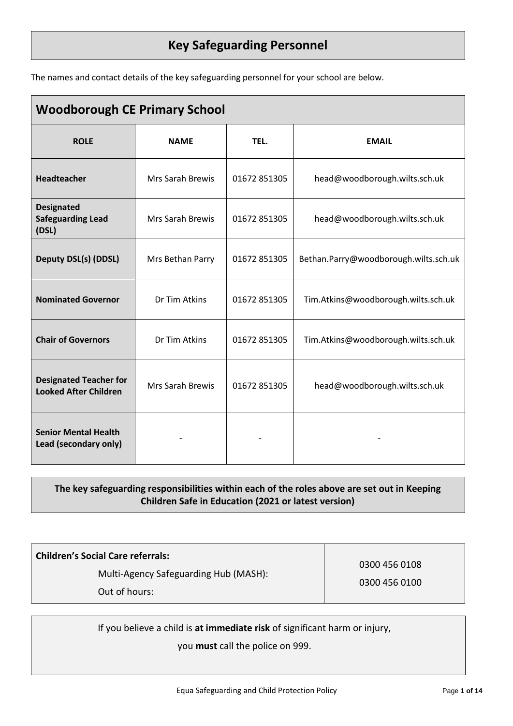# **Key Safeguarding Personnel**

The names and contact details of the key safeguarding personnel for your school are below.

| <b>Woodborough CE Primary School</b>                          |                         |              |                                       |  |  |
|---------------------------------------------------------------|-------------------------|--------------|---------------------------------------|--|--|
| <b>ROLE</b>                                                   | <b>NAME</b>             | TEL.         | <b>EMAIL</b>                          |  |  |
| <b>Headteacher</b>                                            | Mrs Sarah Brewis        | 01672 851305 | head@woodborough.wilts.sch.uk         |  |  |
| <b>Designated</b><br><b>Safeguarding Lead</b><br>(DSL)        | <b>Mrs Sarah Brewis</b> | 01672 851305 | head@woodborough.wilts.sch.uk         |  |  |
| <b>Deputy DSL(s) (DDSL)</b>                                   | Mrs Bethan Parry        | 01672 851305 | Bethan.Parry@woodborough.wilts.sch.uk |  |  |
| <b>Nominated Governor</b>                                     | Dr Tim Atkins           | 01672 851305 | Tim.Atkins@woodborough.wilts.sch.uk   |  |  |
| <b>Chair of Governors</b>                                     | Dr Tim Atkins           | 01672 851305 | Tim.Atkins@woodborough.wilts.sch.uk   |  |  |
| <b>Designated Teacher for</b><br><b>Looked After Children</b> | Mrs Sarah Brewis        | 01672 851305 | head@woodborough.wilts.sch.uk         |  |  |
| <b>Senior Mental Health</b><br>Lead (secondary only)          |                         |              |                                       |  |  |

# **The key safeguarding responsibilities within each of the roles above are set out in Keeping Children Safe in Education (2021 or latest version)**

| <b>Children's Social Care referrals:</b> |               |
|------------------------------------------|---------------|
| Multi-Agency Safeguarding Hub (MASH):    | 0300 456 0108 |
|                                          | 0300 456 0100 |
| Out of hours:                            |               |

If you believe a child is **at immediate risk** of significant harm or injury,

you **must** call the police on 999.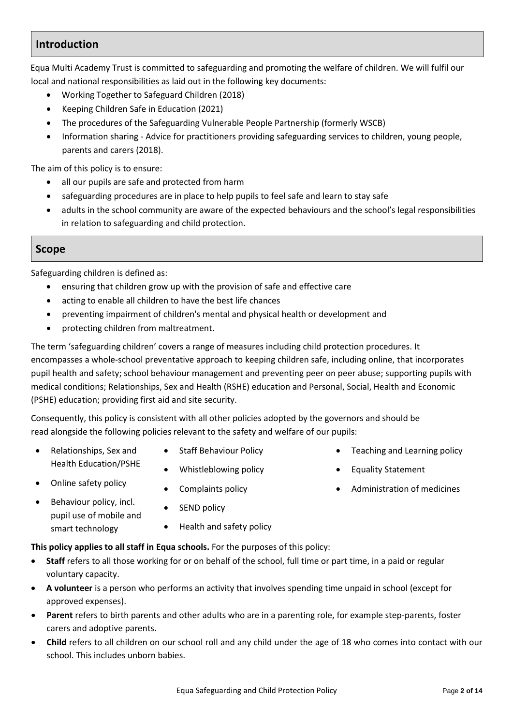# **Introduction**

Equa Multi Academy Trust is committed to safeguarding and promoting the welfare of children. We will fulfil our local and national responsibilities as laid out in the following key documents:

- Working Together to Safeguard Children (2018)
- Keeping Children Safe in Education (2021)
- [The procedures of the](http://www.proceduresonline.com/birmingham/scb/) Safeguarding Vulnerable People Partnership (formerly WSCB)
- Information sharing Advice for practitioners providing safeguarding services to children, young people, parents and carers (2018).

The aim of this policy is to ensure:

- all our pupils are safe and protected from harm
- safeguarding procedures are in place to help pupils to feel safe and learn to stay safe
- adults in the school community are aware of the expected behaviours and the school's legal responsibilities in relation to safeguarding and child protection.

# **Scope**

Safeguarding children is defined as:

- ensuring that children grow up with the provision of safe and effective care
- acting to enable all children to have the best life chances
- preventing impairment of children's mental and physical health or development and
- protecting children from maltreatment.

The term 'safeguarding children' covers a range of measures including child protection procedures. It encompasses a whole-school preventative approach to keeping children safe, including online, that incorporates pupil health and safety; school behaviour management and preventing peer on peer abuse; supporting pupils with medical conditions; Relationships, Sex and Health (RSHE) education and Personal, Social, Health and Economic (PSHE) education; providing first aid and site security.

Consequently, this policy is consistent with all other policies adopted by the governors and should be read alongside the following policies relevant to the safety and welfare of our pupils:

- Relationships, Sex and Health Education/PSHE
- Online safety policy
- Behaviour policy, incl. pupil use of mobile and smart technology
- Staff Behaviour Policy
- Whistleblowing policy
- Complaints policy
- SEND policy
- Health and safety policy

## **This policy applies to all staff in Equa schools.** For the purposes of this policy:

- **Staff** refers to all those working for or on behalf of the school, full time or part time, in a paid or regular voluntary capacity.
- **A volunteer** is a person who performs an activity that involves spending time unpaid in school (except for approved expenses).
- **Parent** refers to birth parents and other adults who are in a parenting role, for example step-parents, foster carers and adoptive parents.
- **Child** refers to all children on our school roll and any child under the age of 18 who comes into contact with our school. This includes unborn babies.
- Teaching and Learning policy
- Equality Statement
- Administration of medicines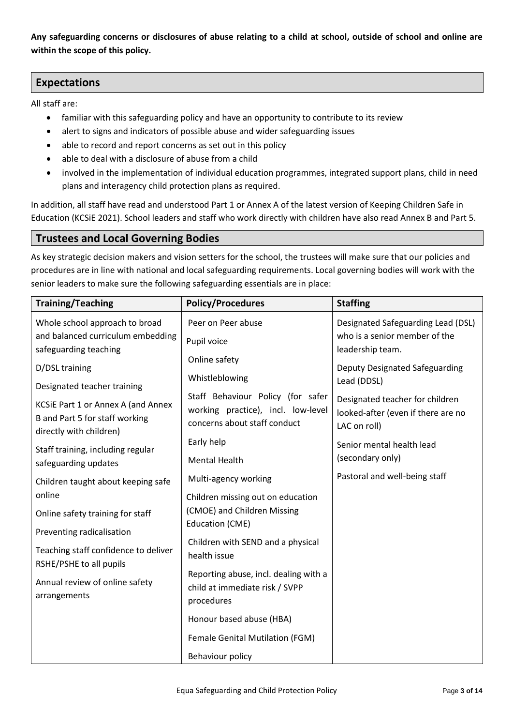**Any safeguarding concerns or disclosures of abuse relating to a child at school, outside of school and online are within the scope of this policy.**

# **Expectations**

All staff are:

- familiar with this safeguarding policy and have an opportunity to contribute to its review
- alert to signs and indicators of possible abuse and wider safeguarding issues
- able to record and report concerns as set out in this policy
- able to deal with a disclosure of abuse from a child
- involved in the implementation of individual education programmes, integrated support plans, child in need plans and interagency child protection plans as required.

In addition, all staff have read and understood Part 1 or Annex A of the latest version of Keeping Children Safe in Education (KCSiE 2021). School leaders and staff who work directly with children have also read Annex B and Part 5.

# **Trustees and Local Governing Bodies**

As key strategic decision makers and vision setters for the school, the trustees will make sure that our policies and procedures are in line with national and local safeguarding requirements. Local governing bodies will work with the senior leaders to make sure the following safeguarding essentials are in place:

| <b>Training/Teaching</b>                                             | <b>Policy/Procedures</b>                          | <b>Staffing</b>                               |
|----------------------------------------------------------------------|---------------------------------------------------|-----------------------------------------------|
| Whole school approach to broad                                       | Peer on Peer abuse                                | Designated Safeguarding Lead (DSL)            |
| and balanced curriculum embedding                                    | Pupil voice                                       | who is a senior member of the                 |
| safeguarding teaching                                                | Online safety                                     | leadership team.                              |
| D/DSL training                                                       | Whistleblowing                                    | Deputy Designated Safeguarding<br>Lead (DDSL) |
| Designated teacher training                                          | Staff Behaviour Policy (for safer                 | Designated teacher for children               |
| KCSiE Part 1 or Annex A (and Annex<br>B and Part 5 for staff working | working practice), incl. low-level                | looked-after (even if there are no            |
| directly with children)                                              | concerns about staff conduct                      | LAC on roll)                                  |
| Staff training, including regular                                    | Early help                                        | Senior mental health lead                     |
| safeguarding updates                                                 | <b>Mental Health</b>                              | (secondary only)                              |
| Children taught about keeping safe                                   | Multi-agency working                              | Pastoral and well-being staff                 |
| online                                                               | Children missing out on education                 |                                               |
| Online safety training for staff                                     | (CMOE) and Children Missing                       |                                               |
| Preventing radicalisation                                            | <b>Education (CME)</b>                            |                                               |
| Teaching staff confidence to deliver                                 | Children with SEND and a physical<br>health issue |                                               |
| RSHE/PSHE to all pupils                                              | Reporting abuse, incl. dealing with a             |                                               |
| Annual review of online safety                                       | child at immediate risk / SVPP                    |                                               |
| arrangements                                                         | procedures                                        |                                               |
|                                                                      | Honour based abuse (HBA)                          |                                               |
|                                                                      | Female Genital Mutilation (FGM)                   |                                               |
|                                                                      | Behaviour policy                                  |                                               |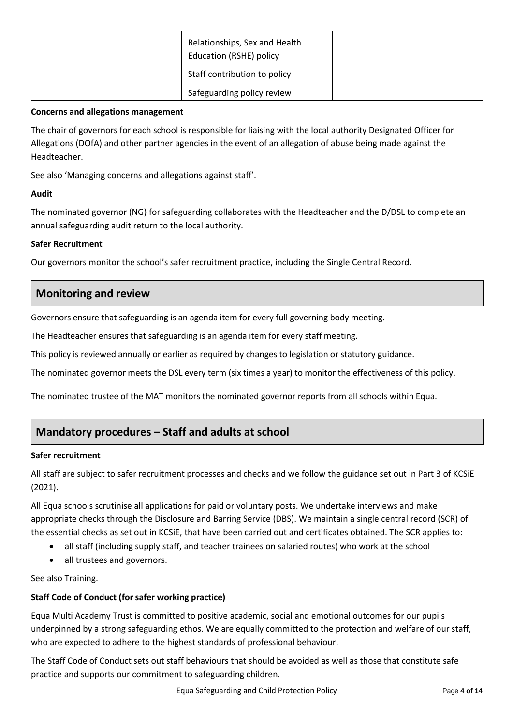| Relationships, Sex and Health<br><b>Education (RSHE) policy</b> |  |
|-----------------------------------------------------------------|--|
| Staff contribution to policy                                    |  |
| Safeguarding policy review                                      |  |

#### **Concerns and allegations management**

The chair of governors for each school is responsible for liaising with the local authority Designated Officer for Allegations (DOfA) and other partner agencies in the event of an allegation of abuse being made against the Headteacher.

See also 'Managing concerns and allegations against staff'.

## **Audit**

The nominated governor (NG) for safeguarding collaborates with the Headteacher and the D/DSL to complete an annual safeguarding audit return to the local authority.

## **Safer Recruitment**

Our governors monitor the school's safer recruitment practice, including the Single Central Record.

# **Monitoring and review**

Governors ensure that safeguarding is an agenda item for every full governing body meeting.

The Headteacher ensures that safeguarding is an agenda item for every staff meeting.

This policy is reviewed annually or earlier as required by changes to legislation or statutory guidance.

The nominated governor meets the DSL every term (six times a year) to monitor the effectiveness of this policy.

The nominated trustee of the MAT monitors the nominated governor reports from all schools within Equa.

# **Mandatory procedures – Staff and adults at school**

#### **Safer recruitment**

All staff are subject to safer recruitment processes and checks and we follow the guidance set out in Part 3 of KCSiE (2021).

All Equa schools scrutinise all applications for paid or voluntary posts. We undertake interviews and make appropriate checks through the Disclosure and Barring Service (DBS). We maintain a single central record (SCR) of the essential checks as set out in KCSiE, that have been carried out and certificates obtained. The SCR applies to:

- all staff (including supply staff, and teacher trainees on salaried routes) who work at the school
- all trustees and governors.

See also Training.

## **Staff Code of Conduct (for safer working practice)**

Equa Multi Academy Trust is committed to positive academic, social and emotional outcomes for our pupils underpinned by a strong safeguarding ethos. We are equally committed to the protection and welfare of our staff, who are expected to adhere to the highest standards of professional behaviour.

The Staff Code of Conduct sets out staff behaviours that should be avoided as well as those that constitute safe practice and supports our commitment to safeguarding children.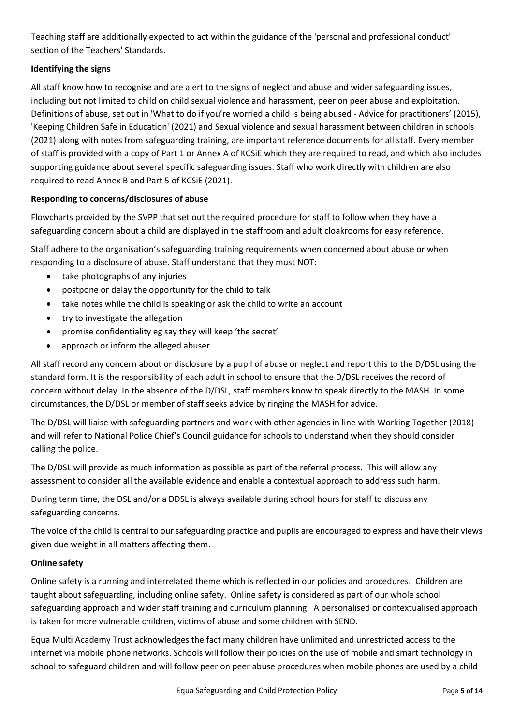Teaching staff are additionally expected to act within the guidance of the 'personal and professional conduct' section of the Teachers' Standards.

# **Identifying the signs**

All staff know how to recognise and are alert to the signs of neglect and abuse and wider safeguarding issues, including but not limited to child on child sexual violence and harassment, peer on peer abuse and exploitation. Definitions of abuse, set out in 'What to do if you're worried a child is being abused - Advice for practitioners' (2015), 'Keeping Children Safe in Education' (2021) and Sexual violence and sexual harassment between children in schools (2021) along with notes from safeguarding training, are important reference documents for all staff. Every member of staff is provided with a copy of Part 1 or Annex A of KCSiE which they are required to read, and which also includes supporting guidance about several specific safeguarding issues. Staff who work directly with children are also required to read Annex B and Part 5 of KCSiE (2021).

## **Responding to concerns/disclosures of abuse**

Flowcharts provided by the SVPP that set out the required procedure for staff to follow when they have a safeguarding concern about a child are displayed in the staffroom and adult cloakrooms for easy reference.

Staff adhere to the organisation's safeguarding training requirements when concerned about abuse or when responding to a disclosure of abuse. Staff understand that they must NOT:

- take photographs of any injuries
- postpone or delay the opportunity for the child to talk
- take notes while the child is speaking or ask the child to write an account
- try to investigate the allegation
- promise confidentiality eg say they will keep 'the secret'
- approach or inform the alleged abuser.

All staff record any concern about or disclosure by a pupil of abuse or neglect and report this to the D/DSL using the standard form. It is the responsibility of each adult in school to ensure that the D/DSL receives the record of concern without delay. In the absence of the D/DSL, staff members know to speak directly to the MASH. In some circumstances, the D/DSL or member of staff seeks advice by ringing the MASH for advice.

The D/DSL will liaise with safeguarding partners and work with other agencies in line with Working Together (2018) and will refer to National Police Chief's Council guidance for schools to understand when they should consider calling the police.

The D/DSL will provide as much information as possible as part of the referral process. This will allow any assessment to consider all the available evidence and enable a contextual approach to address such harm.

During term time, the DSL and/or a DDSL is always available during school hours for staff to discuss any safeguarding concerns.

The voice of the child is central to our safeguarding practice and pupils are encouraged to express and have their views given due weight in all matters affecting them.

## **Online safety**

Online safety is a running and interrelated theme which is reflected in our policies and procedures. Children are taught about safeguarding, including online safety. Online safety is considered as part of our whole school safeguarding approach and wider staff training and curriculum planning. A personalised or contextualised approach is taken for more vulnerable children, victims of abuse and some children with SEND.

Equa Multi Academy Trust acknowledges the fact many children have unlimited and unrestricted access to the internet via mobile phone networks. Schools will follow their policies on the use of mobile and smart technology in school to safeguard children and will follow peer on peer abuse procedures when mobile phones are used by a child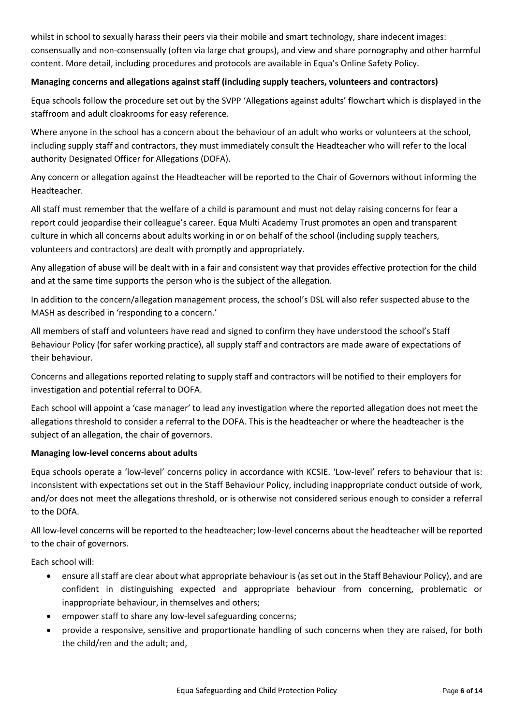whilst in school to sexually harass their peers via their mobile and smart technology, share indecent images: consensually and non-consensually (often via large chat groups), and view and share pornography and other harmful content. More detail, including procedures and protocols are available in Equa's Online Safety Policy.

## **Managing concerns and allegations against staff (including supply teachers, volunteers and contractors)**

Equa schools follow the procedure set out by the SVPP 'Allegations against adults' flowchart which is displayed in the staffroom and adult cloakrooms for easy reference.

Where anyone in the school has a concern about the behaviour of an adult who works or volunteers at the school, including supply staff and contractors, they must immediately consult the Headteacher who will refer to the local authority Designated Officer for Allegations (DOFA).

Any concern or allegation against the Headteacher will be reported to the Chair of Governors without informing the Headteacher.

All staff must remember that the welfare of a child is paramount and must not delay raising concerns for fear a report could jeopardise their colleague's career. Equa Multi Academy Trust promotes an open and transparent culture in which all concerns about adults working in or on behalf of the school (including supply teachers, volunteers and contractors) are dealt with promptly and appropriately.

Any allegation of abuse will be dealt with in a fair and consistent way that provides effective protection for the child and at the same time supports the person who is the subject of the allegation.

In addition to the concern/allegation management process, the school's DSL will also refer suspected abuse to the MASH as described in 'responding to a concern.'

All members of staff and volunteers have read and signed to confirm they have understood the school's Staff Behaviour Policy (for safer working practice), all supply staff and contractors are made aware of expectations of their behaviour.

Concerns and allegations reported relating to supply staff and contractors will be notified to their employers for investigation and potential referral to DOFA.

Each school will appoint a 'case manager' to lead any investigation where the reported allegation does not meet the allegations threshold to consider a referral to the DOFA. This is the headteacher or where the headteacher is the subject of an allegation, the chair of governors.

## **Managing low-level concerns about adults**

Equa schools operate a 'low-level' concerns policy in accordance with KCSIE. 'Low-level' refers to behaviour that is: inconsistent with expectations set out in the Staff Behaviour Policy, including inappropriate conduct outside of work, and/or does not meet the allegations threshold, or is otherwise not considered serious enough to consider a referral to the DOfA.

All low-level concerns will be reported to the headteacher; low-level concerns about the headteacher will be reported to the chair of governors.

Each school will:

- ensure all staff are clear about what appropriate behaviour is (as set out in the Staff Behaviour Policy), and are confident in distinguishing expected and appropriate behaviour from concerning, problematic or inappropriate behaviour, in themselves and others;
- empower staff to share any low-level safeguarding concerns;
- provide a responsive, sensitive and proportionate handling of such concerns when they are raised, for both the child/ren and the adult; and,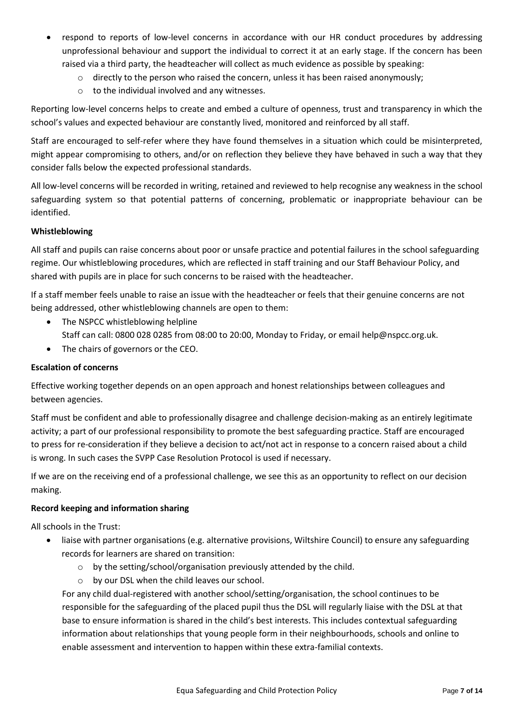- respond to reports of low-level concerns in accordance with our HR conduct procedures by addressing unprofessional behaviour and support the individual to correct it at an early stage. If the concern has been raised via a third party, the headteacher will collect as much evidence as possible by speaking:
	- $\circ$  directly to the person who raised the concern, unless it has been raised anonymously;
	- $\circ$  to the individual involved and any witnesses.

Reporting low-level concerns helps to create and embed a culture of openness, trust and transparency in which the school's values and expected behaviour are constantly lived, monitored and reinforced by all staff.

Staff are encouraged to self-refer where they have found themselves in a situation which could be misinterpreted, might appear compromising to others, and/or on reflection they believe they have behaved in such a way that they consider falls below the expected professional standards.

All low-level concerns will be recorded in writing, retained and reviewed to help recognise any weakness in the school safeguarding system so that potential patterns of concerning, problematic or inappropriate behaviour can be identified.

#### **Whistleblowing**

All staff and pupils can raise concerns about poor or unsafe practice and potential failures in the school safeguarding regime. Our whistleblowing procedures, which are reflected in staff training and our Staff Behaviour Policy, and shared with pupils are in place for such concerns to be raised with the headteacher.

If a staff member feels unable to raise an issue with the headteacher or feels that their genuine concerns are not being addressed, other whistleblowing channels are open to them:

- The NSPCC whistleblowing helpline Staff can call: 0800 028 0285 from 08:00 to 20:00, Monday to Friday, or email help@nspcc.org.uk.
- The chairs of governors or the CEO.

#### **Escalation of concerns**

Effective working together depends on an open approach and honest relationships between colleagues and between agencies.

Staff must be confident and able to professionally disagree and challenge decision-making as an entirely legitimate activity; a part of our professional responsibility to promote the best safeguarding practice. Staff are encouraged to press for re-consideration if they believe a decision to act/not act in response to a concern raised about a child is wrong. In such cases the SVPP Case Resolution Protocol is used if necessary.

If we are on the receiving end of a professional challenge, we see this as an opportunity to reflect on our decision making.

#### **Record keeping and information sharing**

All schools in the Trust:

- liaise with partner organisations (e.g. alternative provisions, Wiltshire Council) to ensure any safeguarding records for learners are shared on transition:
	- o by the setting/school/organisation previously attended by the child.
	- o by our DSL when the child leaves our school.

For any child dual-registered with another school/setting/organisation, the school continues to be responsible for the safeguarding of the placed pupil thus the DSL will regularly liaise with the DSL at that base to ensure information is shared in the child's best interests. This includes contextual safeguarding information about relationships that young people form in their neighbourhoods, schools and online to enable assessment and intervention to happen within these extra-familial contexts.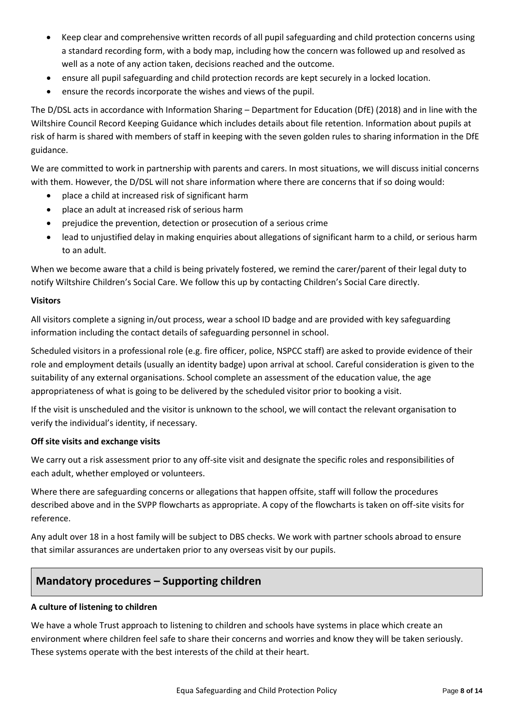- Keep clear and comprehensive written records of all pupil safeguarding and child protection concerns using a standard recording form, with a body map, including how the concern was followed up and resolved as well as a note of any action taken, decisions reached and the outcome.
- ensure all pupil safeguarding and child protection records are kept securely in a locked location.
- ensure the records incorporate the wishes and views of the pupil.

The D/DSL acts in accordance with Information Sharing – Department for Education (DfE) (2018) and in line with the Wiltshire Council Record Keeping Guidance which includes details about file retention. Information about pupils at risk of harm is shared with members of staff in keeping with the seven golden rules to sharing information in the DfE guidance.

We are committed to work in partnership with parents and carers. In most situations, we will discuss initial concerns with them. However, the D/DSL will not share information where there are concerns that if so doing would:

- place a child at increased risk of significant harm
- place an adult at increased risk of serious harm
- prejudice the prevention, detection or prosecution of a serious crime
- lead to unjustified delay in making enquiries about allegations of significant harm to a child, or serious harm to an adult.

When we become aware that a child is being privately fostered, we remind the carer/parent of their legal duty to notify Wiltshire Children's Social Care. We follow this up by contacting Children's Social Care directly.

#### **Visitors**

All visitors complete a signing in/out process, wear a school ID badge and are provided with key safeguarding information including the contact details of safeguarding personnel in school.

Scheduled visitors in a professional role (e.g. fire officer, police, NSPCC staff) are asked to provide evidence of their role and employment details (usually an identity badge) upon arrival at school. Careful consideration is given to the suitability of any external organisations. School complete an assessment of the education value, the age appropriateness of what is going to be delivered by the scheduled visitor prior to booking a visit.

If the visit is unscheduled and the visitor is unknown to the school, we will contact the relevant organisation to verify the individual's identity, if necessary.

## **Off site visits and exchange visits**

We carry out a risk assessment prior to any off-site visit and designate the specific roles and responsibilities of each adult, whether employed or volunteers.

Where there are safeguarding concerns or allegations that happen offsite, staff will follow the procedures described above and in the SVPP flowcharts as appropriate. A copy of the flowcharts is taken on off-site visits for reference.

Any adult over 18 in a host family will be subject to DBS checks. We work with partner schools abroad to ensure that similar assurances are undertaken prior to any overseas visit by our pupils.

# **Mandatory procedures – Supporting children**

## **A culture of listening to children**

We have a whole Trust approach to listening to children and schools have systems in place which create an environment where children feel safe to share their concerns and worries and know they will be taken seriously. These systems operate with the best interests of the child at their heart.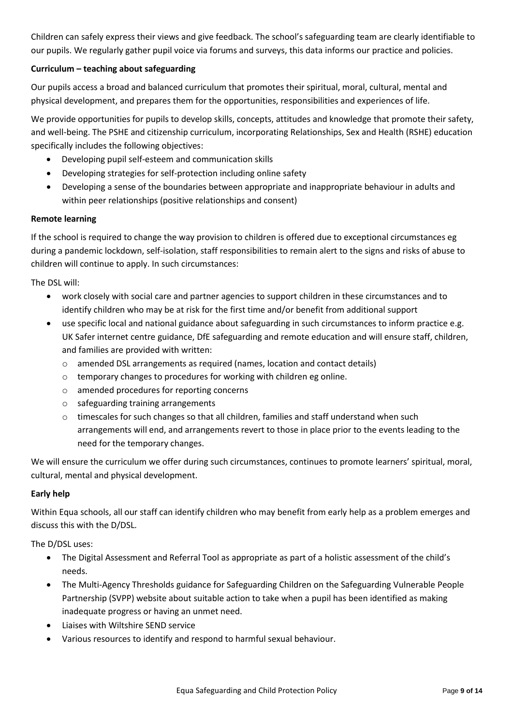Children can safely express their views and give feedback. The school's safeguarding team are clearly identifiable to our pupils. We regularly gather pupil voice via forums and surveys, this data informs our practice and policies.

## **Curriculum – teaching about safeguarding**

Our pupils access a broad and balanced curriculum that promotes their spiritual, moral, cultural, mental and physical development, and prepares them for the opportunities, responsibilities and experiences of life.

We provide opportunities for pupils to develop skills, concepts, attitudes and knowledge that promote their safety, and well-being. The PSHE and citizenship curriculum, incorporating Relationships, Sex and Health (RSHE) education specifically includes the following objectives:

- Developing pupil self-esteem and communication skills
- Developing strategies for self-protection including online safety
- Developing a sense of the boundaries between appropriate and inappropriate behaviour in adults and within peer relationships (positive relationships and consent)

#### **Remote learning**

If the school is required to change the way provision to children is offered due to exceptional circumstances eg during a pandemic lockdown, self-isolation, staff responsibilities to remain alert to the signs and risks of abuse to children will continue to apply. In such circumstances:

The DSL will:

- work closely with social care and partner agencies to support children in these circumstances and to identify children who may be at risk for the first time and/or benefit from additional support
- use specific local and national guidance about safeguarding in such circumstances to inform practice e.g. UK Safer internet centre guidance, DfE safeguarding and remote education and will ensure staff, children, and families are provided with written:
	- o amended DSL arrangements as required (names, location and contact details)
	- o temporary changes to procedures for working with children eg online.
	- o amended procedures for reporting concerns
	- o safeguarding training arrangements
	- o timescales for such changes so that all children, families and staff understand when such arrangements will end, and arrangements revert to those in place prior to the events leading to the need for the temporary changes.

We will ensure the curriculum we offer during such circumstances, continues to promote learners' spiritual, moral, cultural, mental and physical development.

## **Early help**

Within Equa schools, all our staff can identify children who may benefit from early help as a problem emerges and discuss this with the D/DSL.

The D/DSL uses:

- The Digital Assessment and Referral Tool as appropriate as part of a holistic assessment of the child's needs.
- The Multi-Agency Thresholds guidance for Safeguarding Children on the Safeguarding Vulnerable People Partnership (SVPP) website about suitable action to take when a pupil has been identified as making inadequate progress or having an unmet need.
- Liaises with Wiltshire SEND service
- Various resources to identify and respond to harmful sexual behaviour.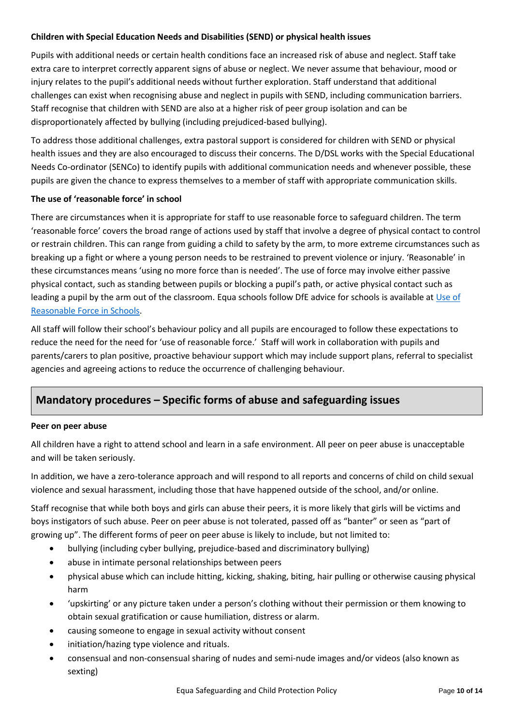## **Children with Special Education Needs and Disabilities (SEND) or physical health issues**

Pupils with additional needs or certain health conditions face an increased risk of abuse and neglect. Staff take extra care to interpret correctly apparent signs of abuse or neglect. We never assume that behaviour, mood or injury relates to the pupil's additional needs without further exploration. Staff understand that additional challenges can exist when recognising abuse and neglect in pupils with SEND, including communication barriers. Staff recognise that children with SEND are also at a higher risk of peer group isolation and can be disproportionately affected by bullying (including prejudiced-based bullying).

To address those additional challenges, extra pastoral support is considered for children with SEND or physical health issues and they are also encouraged to discuss their concerns. The D/DSL works with the Special Educational Needs Co-ordinator (SENCo) to identify pupils with additional communication needs and whenever possible, these pupils are given the chance to express themselves to a member of staff with appropriate communication skills.

#### **The use of 'reasonable force' in school**

There are circumstances when it is appropriate for staff to use reasonable force to safeguard children. The term 'reasonable force' covers the broad range of actions used by staff that involve a degree of physical contact to control or restrain children. This can range from guiding a child to safety by the arm, to more extreme circumstances such as breaking up a fight or where a young person needs to be restrained to prevent violence or injury. 'Reasonable' in these circumstances means 'using no more force than is needed'. The use of force may involve either passive physical contact, such as standing between pupils or blocking a pupil's path, or active physical contact such as leading a pupil by the arm out of the classroom. Equa schools follow DfE advice for schools is available at [Use of](https://assets.publishing.service.gov.uk/government/uploads/system/uploads/attachment_data/file/444051/Use_of_reasonable_force_advice_Reviewed_July_2015.pdf)  [Reasonable Force in Schools.](https://assets.publishing.service.gov.uk/government/uploads/system/uploads/attachment_data/file/444051/Use_of_reasonable_force_advice_Reviewed_July_2015.pdf)

All staff will follow their school's behaviour policy and all pupils are encouraged to follow these expectations to reduce the need for the need for 'use of reasonable force.' Staff will work in collaboration with pupils and parents/carers to plan positive, proactive behaviour support which may include support plans, referral to specialist agencies and agreeing actions to reduce the occurrence of challenging behaviour.

# **Mandatory procedures – Specific forms of abuse and safeguarding issues**

#### **Peer on peer abuse**

All children have a right to attend school and learn in a safe environment. All peer on peer abuse is unacceptable and will be taken seriously.

In addition, we have a zero-tolerance approach and will respond to all reports and concerns of child on child sexual violence and sexual harassment, including those that have happened outside of the school, and/or online.

Staff recognise that while both boys and girls can abuse their peers, it is more likely that girls will be victims and boys instigators of such abuse. Peer on peer abuse is not tolerated, passed off as "banter" or seen as "part of growing up". The different forms of peer on peer abuse is likely to include, but not limited to:

- bullying (including cyber bullying, prejudice-based and discriminatory bullying)
- abuse in intimate personal relationships between peers
- physical abuse which can include hitting, kicking, shaking, biting, hair pulling or otherwise causing physical harm
- 'upskirting' or any picture taken under a person's clothing without their permission or them knowing to obtain sexual gratification or cause humiliation, distress or alarm.
- causing someone to engage in sexual activity without consent
- initiation/hazing type violence and rituals.
- consensual and non-consensual sharing of nudes and semi-nude images and/or videos (also known as sexting)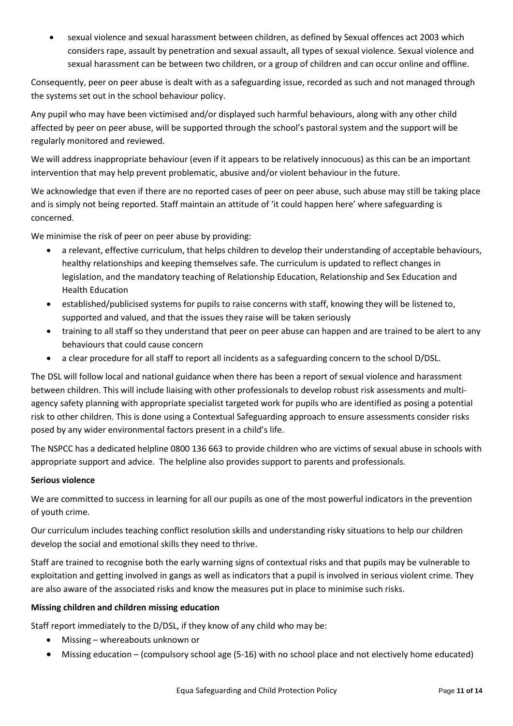sexual violence and sexual harassment between children, as defined by Sexual offences act 2003 which considers rape, assault by penetration and sexual assault, all types of sexual violence. Sexual violence and sexual harassment can be between two children, or a group of children and can occur online and offline.

Consequently, peer on peer abuse is dealt with as a safeguarding issue, recorded as such and not managed through the systems set out in the school behaviour policy.

Any pupil who may have been victimised and/or displayed such harmful behaviours, along with any other child affected by peer on peer abuse, will be supported through the school's pastoral system and the support will be regularly monitored and reviewed.

We will address inappropriate behaviour (even if it appears to be relatively innocuous) as this can be an important intervention that may help prevent problematic, abusive and/or violent behaviour in the future.

We acknowledge that even if there are no reported cases of peer on peer abuse, such abuse may still be taking place and is simply not being reported. Staff maintain an attitude of 'it could happen here' where safeguarding is concerned.

We minimise the risk of peer on peer abuse by providing:

- a relevant, effective curriculum, that helps children to develop their understanding of acceptable behaviours, healthy relationships and keeping themselves safe. The curriculum is updated to reflect changes in legislation, and the mandatory teaching of Relationship Education, Relationship and Sex Education and Health Education
- established/publicised systems for pupils to raise concerns with staff, knowing they will be listened to, supported and valued, and that the issues they raise will be taken seriously
- training to all staff so they understand that peer on peer abuse can happen and are trained to be alert to any behaviours that could cause concern
- a clear procedure for all staff to report all incidents as a safeguarding concern to the school D/DSL.

The DSL will follow local and national guidance when there has been a report of sexual violence and harassment between children. This will include liaising with other professionals to develop robust risk assessments and multiagency safety planning with appropriate specialist targeted work for pupils who are identified as posing a potential risk to other children. This is done using a Contextual Safeguarding approach to ensure assessments consider risks posed by any wider environmental factors present in a child's life.

The NSPCC has a dedicated helpline 0800 136 663 to provide children who are victims of sexual abuse in schools with appropriate support and advice. The helpline also provides support to parents and professionals.

## **Serious violence**

We are committed to success in learning for all our pupils as one of the most powerful indicators in the prevention of youth crime.

Our curriculum includes teaching conflict resolution skills and understanding risky situations to help our children develop the social and emotional skills they need to thrive.

Staff are trained to recognise both the early warning signs of contextual risks and that pupils may be vulnerable to exploitation and getting involved in gangs as well as indicators that a pupil is involved in serious violent crime. They are also aware of the associated risks and know the measures put in place to minimise such risks.

## **Missing children and children missing education**

Staff report immediately to the D/DSL, if they know of any child who may be:

- Missing whereabouts unknown or
- Missing education (compulsory school age (5-16) with no school place and not electively home educated)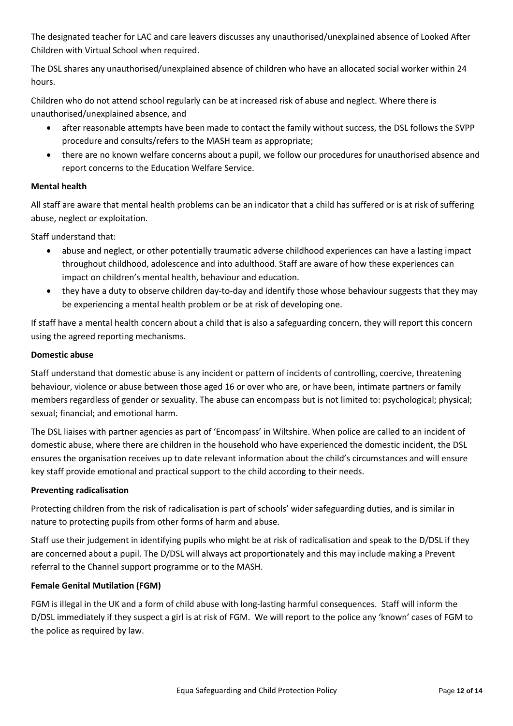The designated teacher for LAC and care leavers discusses any unauthorised/unexplained absence of Looked After Children with Virtual School when required.

The DSL shares any unauthorised/unexplained absence of children who have an allocated social worker within 24 hours.

Children who do not attend school regularly can be at increased risk of abuse and neglect. Where there is unauthorised/unexplained absence, and

- after reasonable attempts have been made to contact the family without success, the DSL follows the SVPP procedure and consults/refers to the MASH team as appropriate;
- there are no known welfare concerns about a pupil, we follow our procedures for unauthorised absence and report concerns to the Education Welfare Service.

# **Mental health**

All staff are aware that mental health problems can be an indicator that a child has suffered or is at risk of suffering abuse, neglect or exploitation.

Staff understand that:

- abuse and neglect, or other potentially traumatic adverse childhood experiences can have a lasting impact throughout childhood, adolescence and into adulthood. Staff are aware of how these experiences can impact on children's mental health, behaviour and education.
- they have a duty to observe children day-to-day and identify those whose behaviour suggests that they may be experiencing a mental health problem or be at risk of developing one.

If staff have a mental health concern about a child that is also a safeguarding concern, they will report this concern using the agreed reporting mechanisms.

## **Domestic abuse**

Staff understand that domestic abuse is any incident or pattern of incidents of controlling, coercive, threatening behaviour, violence or abuse between those aged 16 or over who are, or have been, intimate partners or family members regardless of gender or sexuality. The abuse can encompass but is not limited to: psychological; physical; sexual; financial; and emotional harm.

The DSL liaises with partner agencies as part of 'Encompass' in Wiltshire. When police are called to an incident of domestic abuse, where there are children in the household who have experienced the domestic incident, the DSL ensures the organisation receives up to date relevant information about the child's circumstances and will ensure key staff provide emotional and practical support to the child according to their needs.

## **Preventing radicalisation**

Protecting children from the risk of radicalisation is part of schools' wider safeguarding duties, and is similar in nature to protecting pupils from other forms of harm and abuse.

Staff use their judgement in identifying pupils who might be at risk of radicalisation and speak to the D/DSL if they are concerned about a pupil. The D/DSL will always act proportionately and this may include making a Prevent referral to the Channel support programme or to the MASH.

## **Female Genital Mutilation (FGM)**

FGM is illegal in the UK and a form of child abuse with long-lasting harmful consequences. Staff will inform the D/DSL immediately if they suspect a girl is at risk of FGM. We will report to the police any 'known' cases of FGM to the police as required by law.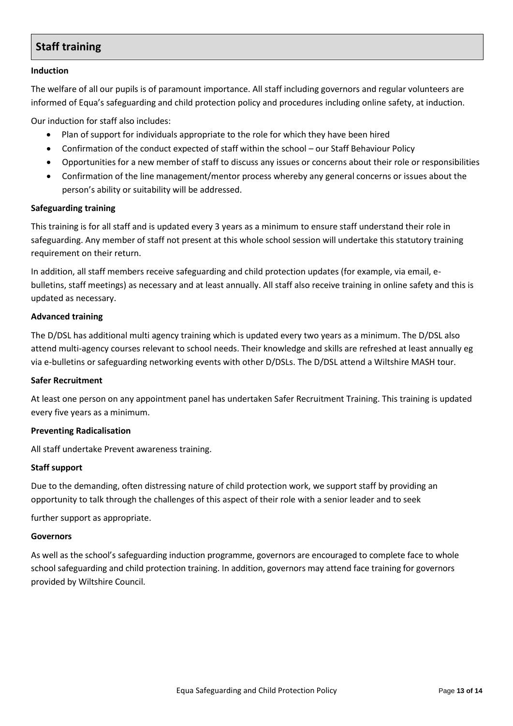# **Staff training**

#### **Induction**

The welfare of all our pupils is of paramount importance. All staff including governors and regular volunteers are informed of Equa's safeguarding and child protection policy and procedures including online safety, at induction.

Our induction for staff also includes:

- Plan of support for individuals appropriate to the role for which they have been hired
- Confirmation of the conduct expected of staff within the school our Staff Behaviour Policy
- Opportunities for a new member of staff to discuss any issues or concerns about their role or responsibilities
- Confirmation of the line management/mentor process whereby any general concerns or issues about the person's ability or suitability will be addressed.

#### **Safeguarding training**

This training is for all staff and is updated every 3 years as a minimum to ensure staff understand their role in safeguarding. Any member of staff not present at this whole school session will undertake this statutory training requirement on their return.

In addition, all staff members receive safeguarding and child protection updates (for example, via email, ebulletins, staff meetings) as necessary and at least annually. All staff also receive training in online safety and this is updated as necessary.

#### **Advanced training**

The D/DSL has additional multi agency training which is updated every two years as a minimum. The D/DSL also attend multi-agency courses relevant to school needs. Their knowledge and skills are refreshed at least annually eg via e-bulletins or safeguarding networking events with other D/DSLs. The D/DSL attend a Wiltshire MASH tour.

#### **Safer Recruitment**

At least one person on any appointment panel has undertaken Safer Recruitment Training. This training is updated every five years as a minimum.

#### **Preventing Radicalisation**

All staff undertake Prevent awareness training.

#### **Staff support**

Due to the demanding, often distressing nature of child protection work, we support staff by providing an opportunity to talk through the challenges of this aspect of their role with a senior leader and to seek

further support as appropriate.

#### **Governors**

As well as the school's safeguarding induction programme, governors are encouraged to complete face to whole school safeguarding and child protection training. In addition, governors may attend face training for governors provided by Wiltshire Council.